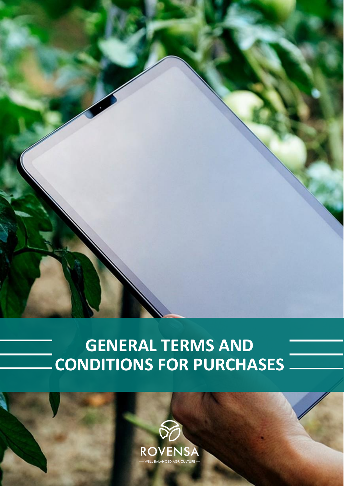

# **GENERAL TERMS AND CONDITIONS FOR PURCHASES**

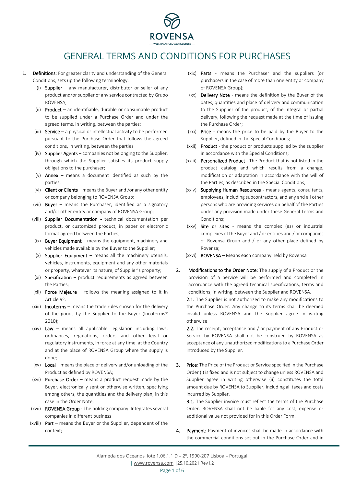

## GENERAL TERMS AND CONDITIONS FOR PURCHASES

- 1. Definitions: For greater clarity and understanding of the General Conditions, sets up the following terminology:
	- (i) **Supplier** any manufacturer, distributor or seller of any product and/or supplier of any service contracted by Grupo ROVENSA;
	- (ii) Product an identifiable, durable or consumable product to be supplied under a Purchase Order and under the agreed terms, in writing, between the parties;
	- (iii) **Service** a physical or intellectual activity to be performed pursuant to the Purchase Order that follows the agreed conditions, in writing, between the parties
	- (iv) Supplier Agents companies not belonging to the Supplier, through which the Supplier satisfies its product supply obligations to the purchaser;
	- (v) **Annex** means a document identified as such by the parties;
	- (vi) Client or Clients means the Buyer and /or any other entity or company belonging to ROVENSA Group;
	- (vii) **Buyer** means the Purchaser, identified as a signatory and/or other entity or company of ROVENSA Group;
	- (viii) Supplier Documentation technical documentation per product, or customized product, in paper or electronic format agreed between the Parties;
	- $(ix)$  Buyer Equipment means the equipment, machinery and vehicles made available by the Buyer to the Supplier;
	- $(x)$  Supplier Equipment means all the machinery utensils, vehicles, instruments, equipment and any other materials or property, whatever its nature, of Supplier's property;
	- $(xi)$  Specification product requirements as agreed between the Parties;
	- (xii) Force Majeure follows the meaning assigned to it in Article 9º;
	- (xiii) Incoterms means the trade rules chosen for the delivery of the goods by the Supplier to the Buyer (Incoterms® 2010);
	- (xiv)  $Law means all applicable legislation including laws,$ ordinances, regulations, orders and other legal or regulatory instruments, in force at any time, at the Country and at the place of ROVENSA Group where the supply is done;
	- (xv) Local means the place of delivery and/or unloading of the Product as defined by ROVENSA;
	- (xvi) Purchase Order means a product request made by the Buyer, electronically sent or otherwise written, specifying among others, the quantities and the delivery plan, in this case in the Order Note;
	- (xvii) ROVENSA Group The holding company. Integrates several companies in different business
	- (xviii) Part means the Buyer or the Supplier, dependent of the context;
- (xix) Parts means the Purchaser and the suppliers (or purchasers in the case of more than one entity or company of ROVENSA Group);
- (xx) **Delivery Note** means the definition by the Buyer of the dates, quantities and place of delivery and communication to the Supplier of the product, of the integral or partial delivery, following the request made at the time of issuing the Purchase Order;
- (xxi) Price means the price to be paid by the Buyer to the Supplier, defined in the Special Conditions;
- (xxii) Product the product or products supplied by the supplier in accordance with the Special Conditions;
- (xxiii) Personalized Product The Product that is not listed in the product catalog and which results from a change, modification or adaptation in accordance with the will of the Parties, as described in the Special Conditions;
- (xxiv) Supplying Human Resources means agents, consultants, employees, including subcontractors, and any and all other persons who are providing services on behalf of the Parties under any provision made under these General Terms and Conditions;
- $(xxy)$  Site or sites means the complex (es) or industrial complexes of the Buyer and / or entities and / or companies of Rovensa Group and / or any other place defined by Rovensa;
- (xxvi) ROVENSA Means each company held by Rovensa
- 2. Modifications to the Order Note: The supply of a Product or the provision of a Service will be performed and completed in accordance with the agreed technical specifications, terms and conditions, in writing, between the Supplier and ROVENSA.

2.1. The Supplier is not authorized to make any modifications to the Purchase Order. Any change to its terms shall be deemed invalid unless ROVENSA and the Supplier agree in writing otherwise.

2.2. The receipt, acceptance and / or payment of any Product or Service by ROVENSA shall not be construed by ROVENSA as acceptance of any unauthorized modifications to a Purchase Order introduced by the Supplier.

**3.** Price: The Price of the Product or Service specified in the Purchase Order (i) is fixed and is not subject to change unless ROVENSA and Supplier agree in writing otherwise (ii) constitutes the total amount due by ROVENSA to Supplier, including all taxes and costs incurred by Supplier.

3.1. The Supplier invoice must reflect the terms of the Purchase Order. ROVENSA shall not be liable for any cost, expense or additional value not provided for in this Order Form.

4. Payment: Payment of invoices shall be made in accordance with the commercial conditions set out in the Purchase Order and in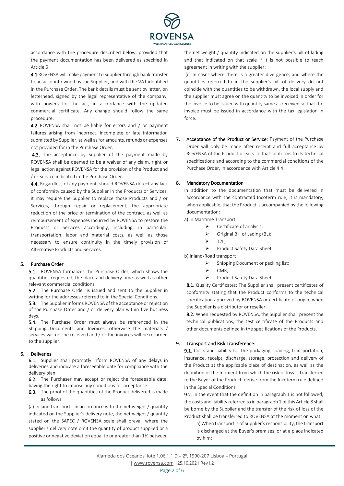

accordance with the procedure described below, provided that the payment documentation has been delivered as specified in Article 5.

4.1 ROVENSA will make payment to Supplier through bank transfer to an account owned by the Supplier, and with the VAT identified in the Purchase Order. The bank details must be sent by letter, on letterhead, signed by the legal representative of the company, with powers for the act, in accordance with the updated commercial certificate. Any change should follow the same procedure.

4.2 ROVENSA shall not be liable for errors and / or payment failures arising from incorrect, incomplete or late information submitted by Supplier, as well as for amounts, refunds or expenses not provided for in the Purchase Order.

4.3. The acceptance by Supplier of the payment made by ROVENSA shall be deemed to be a waiver of any claim, right or legal action against ROVENSA for the provision of the Product and / or Service indicated in the Purchase Order.

4.4. Regardless of any payment, should ROVENSA detect any lack of conformity caused by the Supplier in the Products or Services, it may require the Supplier to replace those Products and / or Services, through repair or replacement, the appropriate reduction of the price or termination of the contract, as well as reimbursement of expenses incurred by ROVENSA to restore the Products or Services accordingly, including, in particular, transportation, labor and material costs, as well as those necessary to ensure continuity in the timely provision of Alternative Products and Services.

### 5. Purchase Order

5.1. ROVENSA formalizes the Purchase Order, which shows the quantities requested, the place and delivery time as well as other relevant commercial conditions.

5.2. The Purchase Order is issued and sent to the Supplier in writing for the addresses referred to in the Special Conditions.

5.3. The Supplier informs ROVENSA of the acceptance or rejection of the Purchase Order and / or delivery plan within five business days.

5.4. The Purchase Order must always be referenced in the Shipping Documents and Invoices, otherwise the materials / services will not be received and / or the invoices will be returned to the supplier.

### 6. Deliveries

6.1. Supplier shall promptly inform ROVENSA of any delays in deliveries and indicate a foreseeable date for compliance with the delivery plan.

6.2. The Purchaser may accept or reject the foreseeable date, having the right to impose any conditions for acceptance.

6.3. The proof of the quantities of the Product delivered is made as follows:

(a) In land transport - in accordance with the net weight / quantity indicated on the Supplier's delivery note, the net weight / quantity stated on the SAPEC / ROVENSA scale shall prevail where the supplier's delivery note omit the quantity of product supplied or a positive or negative deviation equal to or greater than 1% between

the net weight / quantity indicated on the supplier's bill of lading and that indicated on that scale if it is not possible to reach agreement in writing with the supplier;

(c) In cases where there is a greater divergence, and where the quantities referred to in the supplier's bill of delivery do not coincide with the quantities to be withdrawn, the local supply and the supplier must agree on the quantity to be invoiced in order for the invoice to be issued with quantity same as received so that the invoice must be issued in accordance with the tax legislation in force.

7. Acceptance of the Product or Service: Payment of the Purchase Order will only be made after receipt and full acceptance by ROVENSA of the Product or Service that conforms to its technical specifications and according to the commercial conditions of the Purchase Order, in accordance with Article 4.4.

### 8. Mandatory Documentation

In addition to the documentation that must be delivered in accordance with the contracted Incoterm rule, it is mandatory, when applicable, that the Product is accompanied by the following documentation:

a) In Maritime Transport:

- $\triangleright$  Certificate of analysis;
- ➢ Original Bill of Lading (BL);
- $\triangleright$  T2L:
- ➢ Product Safety Data Sheet

b) Inland/Road transport

- ➢ Shipping Document or packing list;
- ➢ CMR;
- ➢ Product Safety Data Sheet

8.1. Quality Certificates: The Supplier shall present certificates of conformity stating that the Product conforms to the technical specification approved by ROVENSA or certificate of origin, when the Supplier is a distributor or reseller.

8.2. When requested by ROVENSA, the Supplier shall present the technical publications, the test certificate of the Products and other documents defined in the specifications of the Products.

### 9. Transport and Risk Transference:

9.1. Costs and liability for the packaging, loading, transportation, insurance, receipt, discharge, storage, protection and delivery of the Product at the applicable place of destination, as well as the definition of the moment from which the risk of loss is transferred to the Buyer of the Product, derive from the Incoterm rule defined in the Special Conditions.

9.2. In the event that the definition in paragraph 1 is not followed, the costs and liability referred to in paragraph 1 of this Article 8 shall be borne by the Supplier and the transfer of the risk of loss of the Product shall be transferred to ROVENSA at the moment on what:

a) When transport is of Supplier's responsibility, the transport is discharged at the Buyer's premises, or at a place indicated by him;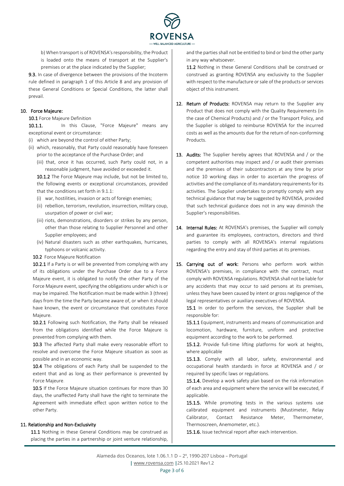

b) When transport is of ROVENSA's responsibility, the Product is loaded onto the means of transport at the Supplier's premises or at the place indicated by the Supplier;

9.3. In case of divergence between the provisions of the Incoterm rule defined in paragraph 1 of this Article 8 and any provision of these General Conditions or Special Conditions, the latter shall prevail.

#### 10. Force Majeure:

10.1 Force Majeure Definition

10.1.1. In this Clause, "Force Majeure" means any exceptional event or circumstance:

(i) which are beyond the control of either Party;

- (ii) which, reasonably, that Party could reasonably have foreseen prior to the acceptance of the Purchase Order; and
	- (iii) that, once it has occurred, such Party could not, in a reasonable judgment, have avoided or exceeded it.

10.1.2 The Force Majeure may include, but not be limited to, the following events or exceptional circumstances, provided that the conditions set forth in 9.1.1:

- (i) war, hostilities, invasion or acts of foreign enemies;
- (ii) rebellion, terrorism, revolution, insurrection, military coup, usurpation of power or civil war;
- (iii) riots, demonstrations, disorders or strikes by any person, other than those relating to Supplier Personnel and other Supplier employees; and
- (iv) Natural disasters such as other earthquakes, hurricanes, typhoons or volcanic activity.
- 10.2 Force Majeure Notification

10.2.1 If a Party is or will be prevented from complying with any of its obligations under the Purchase Order due to a Force Majeure event, it is obligated to notify the other Party of the Force Majeure event, specifying the obligations under which is or may be impaired. The Notification must be made within 3 (three) days from the time the Party became aware of, or when it should have known, the event or circumstance that constitutes Force Majeure.

10.2.1 Following such Notification, the Party shall be released from the obligations identified while the Force Majeure is prevented from complying with them.

10.3 The affected Party shall make every reasonable effort to resolve and overcome the Force Majeure situation as soon as possible and in an economic way.

10.4 The obligations of each Party shall be suspended to the extent that and as long as their performance is prevented by Force Majeure.

10.5 If the Force Majeure situation continues for more than 30 days, the unaffected Party shall have the right to terminate the Agreement with immediate effect upon written notice to the other Party.

### 11. Relationship and Non-Exclusivity

11.1 Nothing in these General Conditions may be construed as placing the parties in a partnership or joint venture relationship,

and the parties shall not be entitled to bind or bind the other party in any way whatsoever.

11.2 Nothing in these General Conditions shall be construed or construed as granting ROVENSA any exclusivity to the Supplier with respect to the manufacture or sale of the products or services object of this instrument.

- 12. Return of Products: ROVENSA may return to the Supplier any Product that does not comply with the Quality Requirements (in the case of Chemical Products) and / or the Transport Policy, and the Supplier is obliged to reimburse ROVENSA for the incurred costs as well as the amounts due for the return of non-conforming Products.
- 13. Audits: The Supplier hereby agrees that ROVENSA and / or the competent authorities may inspect and / or audit their premises and the premises of their subcontractors at any time by prior notice 10 working days in order to ascertain the progress of activities and the compliance of its mandatory requirements for its activities. The Supplier undertakes to promptly comply with any technical guidance that may be suggested by ROVENSA, provided that such technical guidance does not in any way diminish the Supplier's responsibilities.
- 14. Internal Rules: At ROVENSA's premises, the Supplier will comply and guarantee its employees, contractors, directors and third parties to comply with all ROVENSA's internal regulations regarding the entry and stay of third parties at its premises.
- 15. Carrying out of work: Persons who perform work within ROVENSA's premises, in compliance with the contract, must comply with ROVENSA regulations. ROVENSA shall not be liable for any accidents that may occur to said persons at its premises, unless they have been caused by intent or gross negligence of the legal representatives or auxiliary executives of ROVENSA.

15.1 In order to perform the services, the Supplier shall be responsible for:

15.1.1 Equipment, instruments and means of communication and locomotion, hardware, furniture, uniform and protective equipment according to the work to be performed.

15.1.2. Provide full-time lifting platforms for work at heights, where applicable

15.1.3. Comply with all labor, safety, environmental and occupational health standards in force at ROVENSA and / or required by specific laws or regulations.

15.1.4. Develop a work safety plan based on the risk information of each area and equipment where the service will be executed, if applicable.

15.1.5. While promoting tests in the various systems use calibrated equipment and instruments (Mustimeter, Relay Calibrator, Contact Resistance Meter, Thermometer, Thermoscreen, Anemometer, etc.).

15.1.6. Issue technical report after each intervention.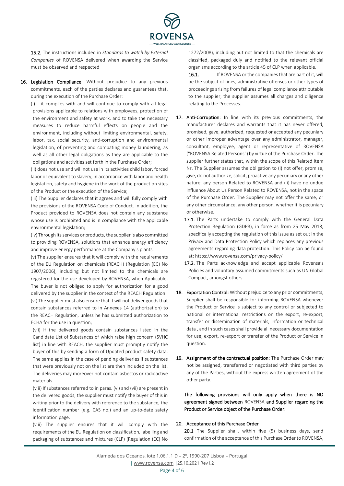

15.2. The instructions included in *Standards to watch by External Companies* of ROVENSA delivered when awarding the Service must be observed and respected

16. Legislation Compliance: Without prejudice to any previous commitments, each of the parties declares and guarantees that, during the execution of the Purchase Order:

(i) it complies with and will continue to comply with all legal provisions applicable to relations with employees, protection of the environment and safety at work, and to take the necessary measures to reduce harmful effects on people and the environment, including without limiting environmental, safety, labor, tax, social security, anti-corruption and environmental legislation, of preventing and combating money laundering, as well as all other legal obligations as they are applicable to the obligations and activities set forth in the Purchase Order;

(ii) does not use and will not use in its activities child labor, forced labor or equivalent to slavery, in accordance with labor and health legislation, safety and hygiene in the work of the production sites of the Product or the execution of the Service;

(iii) The Supplier declares that it agrees and will fully comply with the provisions of the ROVENSA Code of Conduct. In addition, the Product provided to ROVENSA does not contain any substance whose use is prohibited and is in compliance with the applicable environmental legislation;

(iv) Through its services or products, the supplier is also committed to providing ROVENSA, solutions that enhance energy efficiency and improve energy performance at the Company's plants.

(v) The supplier ensures that it will comply with the requirements of the EU Regulation on chemicals (REACH) (Regulation (EC) No 1907/2006), including but not limited to the chemicals are registered for the use developed by ROVENSA, when Applicable. The buyer is not obliged to apply for authorization for a good delivered by the supplier in the context of the REACH Regulation. (vi) The supplier must also ensure that it will not deliver goods that contain substances referred to in Annexes 14 (authorization) to the REACH Regulation, unless he has submitted authorization to ECHA for the use in question;

(vii) If the delivered goods contain substances listed in the Candidate List of Substances of which raise high concern (SVHC list) in line with REACH, the supplier must promptly notify the buyer of this by sending a form of Updated product safety data. The same applies in the case of pending deliveries if substances that were previously not on the list are then included on the list. The deliveries may moreover not contain asbestos or radioactive materials.

(viii) If substances referred to in paras. (vi) and (vii) are present in the delivered goods, the supplier must notify the buyer of this in writing prior to the delivery with reference to the substance, the identification number (e.g. CAS no.) and an up-to-date safety information page.

(viii) The supplier ensures that it will comply with the requirements of the EU Regulation on classification, labelling and packaging of substances and mixtures (CLP) (Regulation (EC) No 1272/2008), including but not limited to that the chemicals are classified, packaged duly and notified to the relevant official organisms according to the article 45 of CLP when applicable.

16.1. If ROVENSA or the companies that are part of it, will be the subject of fines, administrative offenses or other types of proceedings arising from failures of legal compliance attributable to the supplier, the supplier assumes all charges and diligence relating to the Processes.

- 17. Anti-Corruption: In line with its previous commitments, the manufacturer declares and warrants that it has never offered, promised, gave, authorized, requested or accepted any pecuniary or other improper advantage over any administrator, manager, consultant, employee, agent or representative of ROVENSA ("ROVENSA Related Persons") by virtue of the Purchase Order. The supplier further states that, within the scope of this Related Item Nr. The Supplier assumes the obligation to (i) not offer, promise, give, do not authorize, solicit, proactive any pecuniary or any other nature, any person Related to ROVENSA and (ii) have no undue influence About Us Person Related to ROVENSA, not in the space of the Purchase Order. The Supplier may not offer the same, or any other circumstance, any other person, whether it is pecuniary or otherwise.
	- 17.1. The Parts undertake to comply with the General Data Protection Regulation (GDPR), in force as from 25 May 2018, specifically accepting the regulation of this issue as set out in the Privacy and Data Protection Policy which replaces any previous agreements regarding data protection. This Policy can be found at: https://www.rovensa.com/privacy-policy/
	- 17.2. The Parts acknowledge and accept applicable Rovensa's Policies and voluntary assumed commitments such as UN Global Compact, amongst others.
- 18. Exportation Control: Without prejudice to any prior commitments, Supplier shall be responsible for informing ROVENSA whenever the Product or Service is subject to any control or subjected to national or international restrictions on the export, re-export, transfer or dissemination of materials, information or technical data , and in such cases shall provide all necessary documentation for use, export, re-export or transfer of the Product or Service in question.
- 19. Assignment of the contractual position: The Purchase Order may not be assigned, transferred or negotiated with third parties by any of the Parties, without the express written agreement of the other party.

The following provisions will only apply when there is NO agreement signed between ROVENSA and Supplier regarding the Product or Service object of the Purchase Order:

### 20. Acceptance of this Purchase Order

20.1 The Supplier shall, within five (5) business days, send confirmation of the acceptance of this Purchase Order to ROVENSA,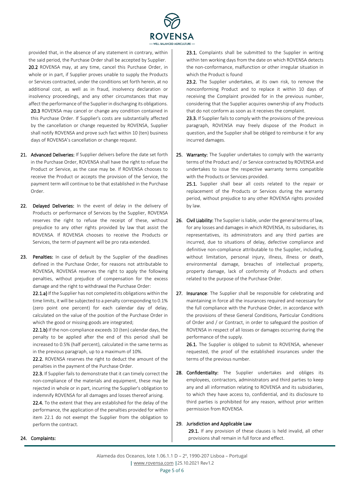

provided that, in the absence of any statement in contrary, within the said period, the Purchase Order shall be accepted by Supplier. 20.2 ROVENSA may, at any time, cancel this Purchase Order, in whole or in part, if Supplier proves unable to supply the Products or Services contracted, under the conditions set forth herein, at no additional cost, as well as in fraud, insolvency declaration or insolvency proceedings, and any other circumstances that may affect the performance of the Supplier in discharging its obligations. 20.3 ROVENSA may cancel or change any condition contained in this Purchase Order. If Supplier's costs are substantially affected by the cancellation or change requested by ROVENSA, Supplier shall notify ROVENSA and prove such fact within 10 (ten) business days of ROVENSA's cancellation or change request.

- 21. Advanced Deliveries: If Supplier delivers before the date set forth in the Purchase Order, ROVENSA shall have the right to refuse the Product or Service, as the case may be. If ROVENSA chooses to receive the Product or accepts the provision of the Service, the payment term will continue to be that established in the Purchase Order.
- 22. Delayed Deliveries: In the event of delay in the delivery of Products or performance of Services by the Supplier, ROVENSA reserves the right to refuse the receipt of these, without prejudice to any other rights provided by law that assist the ROVENSA. If ROVENSA chooses to receive the Products or Services, the term of payment will be pro rata extended.
- 23. Penalties: In case of default by the Supplier of the deadlines defined in the Purchase Order, for reasons not attributable to ROVENSA, ROVENSA reserves the right to apply the following penalties, without prejudice of compensation for the excess damage and the right to withdrawal the Purchase Order:

22.1.a) If the Supplier has not completed its obligations within the time limits, it will be subjected to a penalty corresponding to 0.1% (zero point one percent) for each calendar day of delay, calculated on the value of the position of the Purchase Order in which the good or missing goods are integrated;

22.1.b) If the non-compliance exceeds 10 (ten) calendar days, the penalty to be applied after the end of this period shall be increased to 0.5% (half percent), calculated in the same terms as in the previous paragraph, up to a maximum of 10%.

22.2. ROVENSA reserves the right to deduct the amount of the penalties in the payment of the Purchase Order.

22.3. If Supplier fails to demonstrate that it can timely correct the non-compliance of the materials and equipment, these may be rejected in whole or in part, incurring the Supplier's obligation to indemnify ROVENSA for all damages and losses thereof arising.

22.4. To the extent that they are established for the delay of the performance, the application of the penalties provided for within item 22.1 do not exempt the Supplier from the obligation to perform the contract.

23.1. Complaints shall be submitted to the Supplier in writing within ten working days from the date on which ROVENSA detects the non-conformance, malfunction or other irregular situation in which the Product is found

23.2. The Supplier undertakes, at its own risk, to remove the nonconforming Product and to replace it within 10 days of receiving the Complaint provided for in the previous number, considering that the Supplier acquires ownership of any Products that do not conform as soon as it receives the complaint.

23.3. If Supplier fails to comply with the provisions of the previous paragraph, ROVENSA may freely dispose of the Product in question, and the Supplier shall be obliged to reimburse it for any incurred damages.

25. Warranty: The Supplier undertakes to comply with the warranty terms of the Product and / or Service contracted by ROVENSA and undertakes to issue the respective warranty terms compatible with the Products or Services provided.

25.1. Supplier shall bear all costs related to the repair or replacement of the Products or Services during the warranty period, without prejudice to any other ROVENSA rights provided by law.

- 26. Civil Liability: The Supplier is liable, under the general terms of law, for any losses and damages in which ROVENSA, its subsidiaries, its representatives, its administrators and any third parties are incurred, due to situations of delay, defective compliance and definitive non-compliance attributable to the Supplier, including, without limitation, personal injury, illness, illness or death, environmental damage, breaches of intellectual property, property damage, lack of conformity of Products and others related to the purpose of the Purchase Order.
- 27. Insurance: The Supplier shall be responsible for celebrating and maintaining in force all the insurances required and necessary for the full compliance with the Purchase Order, in accordance with the provisions of these General Conditions, Particular Conditions of Order and / or Contract, in order to safeguard the position of ROVENSA in respect of all losses or damages occurring during the performance of the supply.

26.1. The Supplier is obliged to submit to ROVENSA, whenever requested, the proof of the established insurances under the terms of the previous number.

28. Confidentiality: The Supplier undertakes and obliges its employees, contractors, administrators and third parties to keep any and all information relating to ROVENSA and its subsidiaries, to which they have access to, confidential, and its disclosure to third parties is prohibited for any reason, without prior written permission from ROVENSA.

#### 29. Jurisdiction and Applicable Law

29.1. If any provision of these clauses is held invalid, all other provisions shall remain in full force and effect.